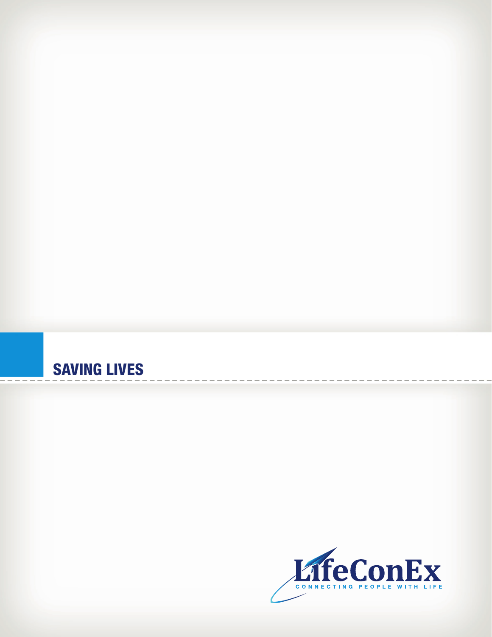## SAVING LIVES

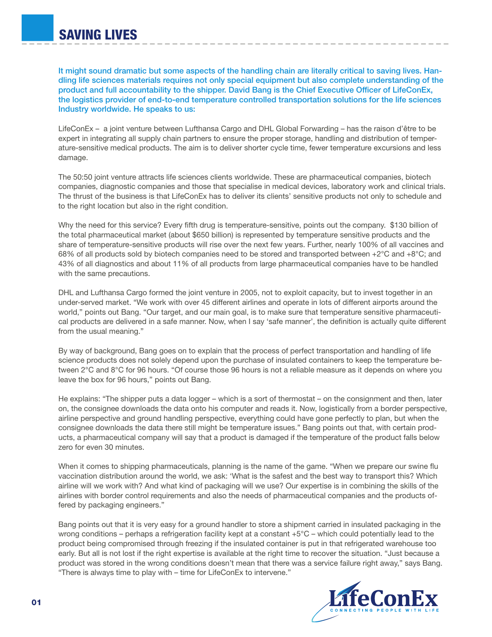It might sound dramatic but some aspects of the handling chain are literally critical to saving lives. Handling life sciences materials requires not only special equipment but also complete understanding of the product and full accountability to the shipper. David Bang is the Chief Executive Officer of LifeConEx, the logistics provider of end-to-end temperature controlled transportation solutions for the life sciences Industry worldwide. He speaks to us:

LifeConEx – a joint venture between Lufthansa Cargo and DHL Global Forwarding – has the raison d'être to be expert in integrating all supply chain partners to ensure the proper storage, handling and distribution of temperature-sensitive medical products. The aim is to deliver shorter cycle time, fewer temperature excursions and less damage.

The 50:50 joint venture attracts life sciences clients worldwide. These are pharmaceutical companies, biotech companies, diagnostic companies and those that specialise in medical devices, laboratory work and clinical trials. The thrust of the business is that LifeConEx has to deliver its clients' sensitive products not only to schedule and to the right location but also in the right condition.

Why the need for this service? Every fifth drug is temperature-sensitive, points out the company. \$130 billion of the total pharmaceutical market (about \$650 billion) is represented by temperature sensitive products and the share of temperature-sensitive products will rise over the next few years. Further, nearly 100% of all vaccines and 68% of all products sold by biotech companies need to be stored and transported between +2°C and +8°C; and 43% of all diagnostics and about 11% of all products from large pharmaceutical companies have to be handled with the same precautions.

DHL and Lufthansa Cargo formed the joint venture in 2005, not to exploit capacity, but to invest together in an under-served market. "We work with over 45 different airlines and operate in lots of different airports around the world," points out Bang. "Our target, and our main goal, is to make sure that temperature sensitive pharmaceutical products are delivered in a safe manner. Now, when I say 'safe manner', the definition is actually quite different from the usual meaning."

By way of background, Bang goes on to explain that the process of perfect transportation and handling of life science products does not solely depend upon the purchase of insulated containers to keep the temperature between 2°C and 8°C for 96 hours. "Of course those 96 hours is not a reliable measure as it depends on where you leave the box for 96 hours," points out Bang.

He explains: "The shipper puts a data logger – which is a sort of thermostat – on the consignment and then, later on, the consignee downloads the data onto his computer and reads it. Now, logistically from a border perspective, airline perspective and ground handling perspective, everything could have gone perfectly to plan, but when the consignee downloads the data there still might be temperature issues." Bang points out that, with certain products, a pharmaceutical company will say that a product is damaged if the temperature of the product falls below zero for even 30 minutes.

When it comes to shipping pharmaceuticals, planning is the name of the game. "When we prepare our swine flu vaccination distribution around the world, we ask: 'What is the safest and the best way to transport this? Which airline will we work with? And what kind of packaging will we use? Our expertise is in combining the skills of the airlines with border control requirements and also the needs of pharmaceutical companies and the products offered by packaging engineers."

Bang points out that it is very easy for a ground handler to store a shipment carried in insulated packaging in the wrong conditions – perhaps a refrigeration facility kept at a constant +5°C – which could potentially lead to the product being compromised through freezing if the insulated container is put in that refrigerated warehouse too early. But all is not lost if the right expertise is available at the right time to recover the situation. "Just because a product was stored in the wrong conditions doesn't mean that there was a service failure right away," says Bang. "There is always time to play with – time for LifeConEx to intervene."

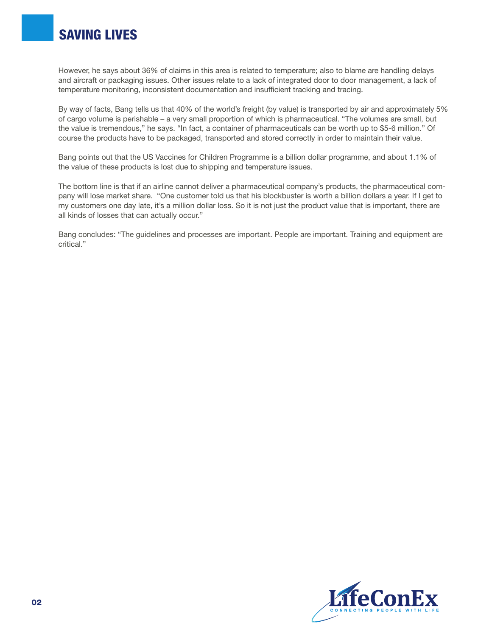However, he says about 36% of claims in this area is related to temperature; also to blame are handling delays and aircraft or packaging issues. Other issues relate to a lack of integrated door to door management, a lack of temperature monitoring, inconsistent documentation and insufficient tracking and tracing.

By way of facts, Bang tells us that 40% of the world's freight (by value) is transported by air and approximately 5% of cargo volume is perishable – a very small proportion of which is pharmaceutical. "The volumes are small, but the value is tremendous," he says. "In fact, a container of pharmaceuticals can be worth up to \$5-6 million." Of course the products have to be packaged, transported and stored correctly in order to maintain their value.

Bang points out that the US Vaccines for Children Programme is a billion dollar programme, and about 1.1% of the value of these products is lost due to shipping and temperature issues.

The bottom line is that if an airline cannot deliver a pharmaceutical company's products, the pharmaceutical company will lose market share. "One customer told us that his blockbuster is worth a billion dollars a year. If I get to my customers one day late, it's a million dollar loss. So it is not just the product value that is important, there are all kinds of losses that can actually occur."

Bang concludes: "The guidelines and processes are important. People are important. Training and equipment are critical."